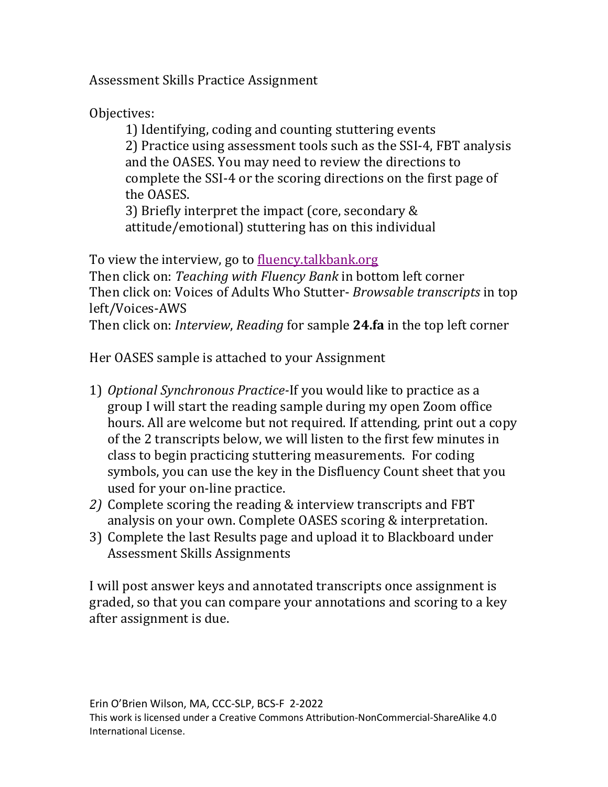Assessment Skills Practice Assignment

Objectives:

1) Identifying, coding and counting stuttering events 2) Practice using assessment tools such as the SSI-4, FBT analysis and the OASES. You may need to review the directions to complete the SSI-4 or the scoring directions on the first page of the OASES.

3) Briefly interpret the impact (core, secondary & attitude/emotional) stuttering has on this individual

To view the interview, go to fluency.talkbank.org Then click on: *Teaching with Fluency Bank* in bottom left corner Then click on: Voices of Adults Who Stutter- *Browsable transcripts* in top left/Voices-AWS Then click on: *Interview*, *Reading* for sample 24.fa in the top left corner

Her OASES sample is attached to your Assignment

- 1) Optional Synchronous Practice-If you would like to practice as a group I will start the reading sample during my open Zoom office hours. All are welcome but not required. If attending, print out a copy of the 2 transcripts below, we will listen to the first few minutes in class to begin practicing stuttering measurements. For coding symbols, you can use the key in the Disfluency Count sheet that you used for your on-line practice.
- 2) Complete scoring the reading & interview transcripts and FBT analysis on your own. Complete OASES scoring & interpretation.
- 3) Complete the last Results page and upload it to Blackboard under Assessment Skills Assignments

I will post answer keys and annotated transcripts once assignment is graded, so that you can compare your annotations and scoring to a key after assignment is due.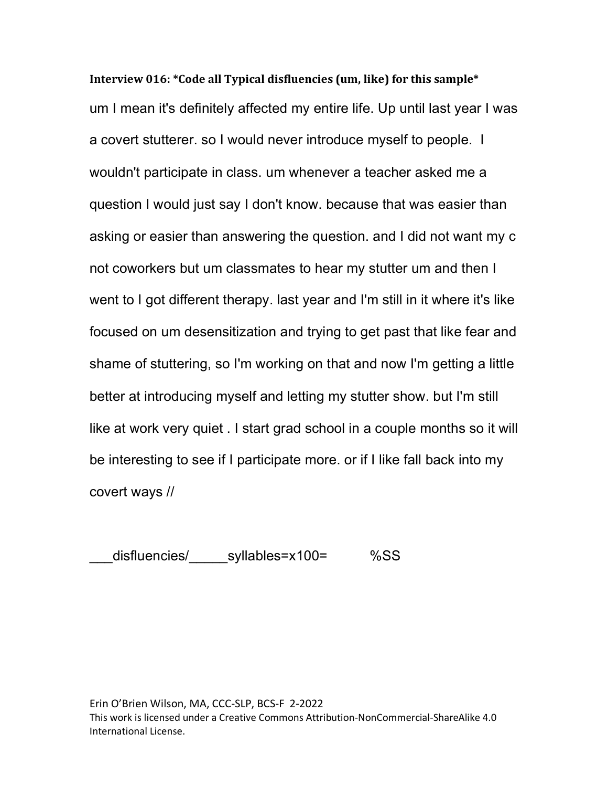**Interview 016: \*Code all Typical disfluencies (um, like) for this sample\*** um I mean it's definitely affected my entire life. Up until last year I was a covert stutterer. so I would never introduce myself to people. I wouldn't participate in class. um whenever a teacher asked me a question I would just say I don't know. because that was easier than asking or easier than answering the question. and I did not want my c not coworkers but um classmates to hear my stutter um and then I went to I got different therapy. last year and I'm still in it where it's like focused on um desensitization and trying to get past that like fear and shame of stuttering, so I'm working on that and now I'm getting a little better at introducing myself and letting my stutter show. but I'm still like at work very quiet . I start grad school in a couple months so it will be interesting to see if I participate more. or if I like fall back into my covert ways //

disfluencies/ syllables=x100= %SS

Erin O'Brien Wilson, MA, CCC-SLP, BCS-F 2-2022 This work is licensed under a Creative Commons Attribution-NonCommercial-ShareAlike 4.0 International License.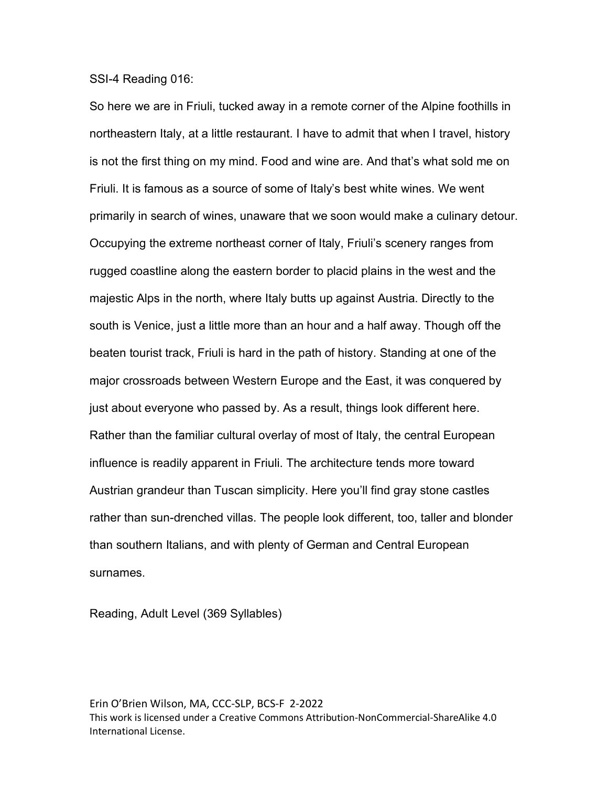SSI-4 Reading 016:

So here we are in Friuli, tucked away in a remote corner of the Alpine foothills in northeastern Italy, at a little restaurant. I have to admit that when I travel, history is not the first thing on my mind. Food and wine are. And that's what sold me on Friuli. It is famous as a source of some of Italy's best white wines. We went primarily in search of wines, unaware that we soon would make a culinary detour. Occupying the extreme northeast corner of Italy, Friuli's scenery ranges from rugged coastline along the eastern border to placid plains in the west and the majestic Alps in the north, where Italy butts up against Austria. Directly to the south is Venice, just a little more than an hour and a half away. Though off the beaten tourist track, Friuli is hard in the path of history. Standing at one of the major crossroads between Western Europe and the East, it was conquered by just about everyone who passed by. As a result, things look different here. Rather than the familiar cultural overlay of most of Italy, the central European influence is readily apparent in Friuli. The architecture tends more toward Austrian grandeur than Tuscan simplicity. Here you'll find gray stone castles rather than sun-drenched villas. The people look different, too, taller and blonder than southern Italians, and with plenty of German and Central European surnames.

Reading, Adult Level (369 Syllables)

Erin O'Brien Wilson, MA, CCC-SLP, BCS-F 2-2022 This work is licensed under a Creative Commons Attribution-NonCommercial-ShareAlike 4.0 International License.